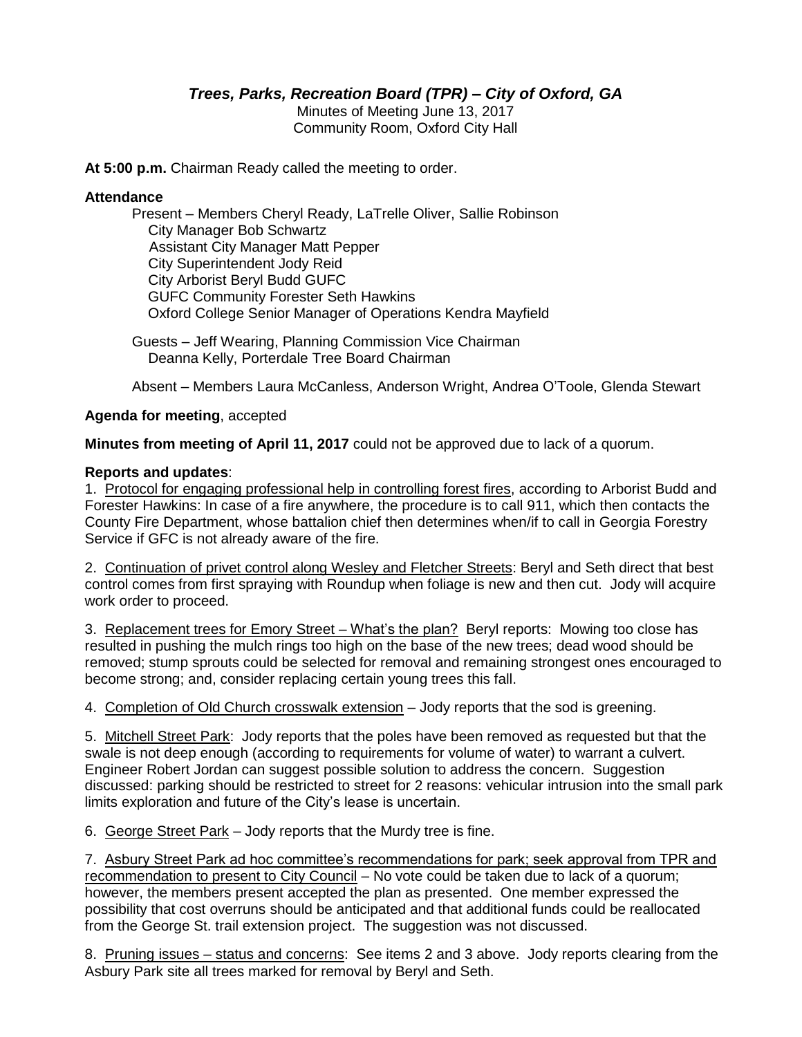# *Trees, Parks, Recreation Board (TPR) – City of Oxford, GA*

Minutes of Meeting June 13, 2017 Community Room, Oxford City Hall

**At 5:00 p.m.** Chairman Ready called the meeting to order.

#### **Attendance**

Present – Members Cheryl Ready, LaTrelle Oliver, Sallie Robinson City Manager Bob Schwartz Assistant City Manager Matt Pepper City Superintendent Jody Reid City Arborist Beryl Budd GUFC GUFC Community Forester Seth Hawkins Oxford College Senior Manager of Operations Kendra Mayfield

Guests – Jeff Wearing, Planning Commission Vice Chairman Deanna Kelly, Porterdale Tree Board Chairman

Absent – Members Laura McCanless, Anderson Wright, Andrea O'Toole, Glenda Stewart

#### **Agenda for meeting**, accepted

**Minutes from meeting of April 11, 2017** could not be approved due to lack of a quorum.

#### **Reports and updates**:

1. Protocol for engaging professional help in controlling forest fires, according to Arborist Budd and Forester Hawkins: In case of a fire anywhere, the procedure is to call 911, which then contacts the County Fire Department, whose battalion chief then determines when/if to call in Georgia Forestry Service if GFC is not already aware of the fire.

2. Continuation of privet control along Wesley and Fletcher Streets: Beryl and Seth direct that best control comes from first spraying with Roundup when foliage is new and then cut. Jody will acquire work order to proceed.

3. Replacement trees for Emory Street – What's the plan? Beryl reports: Mowing too close has resulted in pushing the mulch rings too high on the base of the new trees; dead wood should be removed; stump sprouts could be selected for removal and remaining strongest ones encouraged to become strong; and, consider replacing certain young trees this fall.

4. Completion of Old Church crosswalk extension – Jody reports that the sod is greening.

5. Mitchell Street Park: Jody reports that the poles have been removed as requested but that the swale is not deep enough (according to requirements for volume of water) to warrant a culvert. Engineer Robert Jordan can suggest possible solution to address the concern. Suggestion discussed: parking should be restricted to street for 2 reasons: vehicular intrusion into the small park limits exploration and future of the City's lease is uncertain.

6. George Street Park – Jody reports that the Murdy tree is fine.

7. Asbury Street Park ad hoc committee's recommendations for park; seek approval from TPR and recommendation to present to City Council – No vote could be taken due to lack of a quorum; however, the members present accepted the plan as presented. One member expressed the possibility that cost overruns should be anticipated and that additional funds could be reallocated from the George St. trail extension project. The suggestion was not discussed.

8. Pruning issues – status and concerns: See items 2 and 3 above. Jody reports clearing from the Asbury Park site all trees marked for removal by Beryl and Seth.